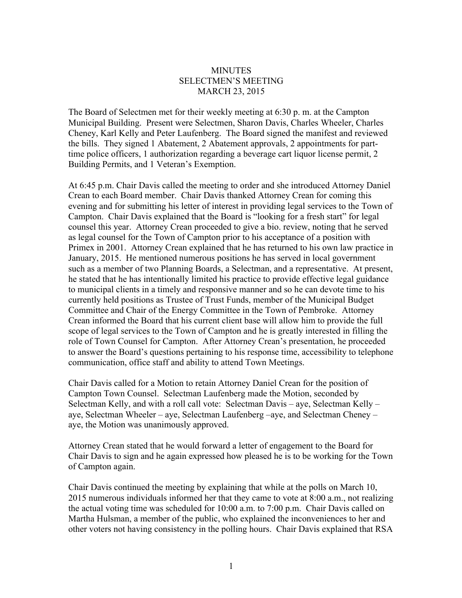## **MINUTES** SELECTMEN'S MEETING MARCH 23, 2015

The Board of Selectmen met for their weekly meeting at 6:30 p. m. at the Campton Municipal Building. Present were Selectmen, Sharon Davis, Charles Wheeler, Charles Cheney, Karl Kelly and Peter Laufenberg. The Board signed the manifest and reviewed the bills. They signed 1 Abatement, 2 Abatement approvals, 2 appointments for parttime police officers, 1 authorization regarding a beverage cart liquor license permit, 2 Building Permits, and 1 Veteran's Exemption.

At 6:45 p.m. Chair Davis called the meeting to order and she introduced Attorney Daniel Crean to each Board member. Chair Davis thanked Attorney Crean for coming this evening and for submitting his letter of interest in providing legal services to the Town of Campton. Chair Davis explained that the Board is "looking for a fresh start" for legal counsel this year. Attorney Crean proceeded to give a bio. review, noting that he served as legal counsel for the Town of Campton prior to his acceptance of a position with Primex in 2001. Attorney Crean explained that he has returned to his own law practice in January, 2015. He mentioned numerous positions he has served in local government such as a member of two Planning Boards, a Selectman, and a representative. At present, he stated that he has intentionally limited his practice to provide effective legal guidance to municipal clients in a timely and responsive manner and so he can devote time to his currently held positions as Trustee of Trust Funds, member of the Municipal Budget Committee and Chair of the Energy Committee in the Town of Pembroke. Attorney Crean informed the Board that his current client base will allow him to provide the full scope of legal services to the Town of Campton and he is greatly interested in filling the role of Town Counsel for Campton. After Attorney Crean's presentation, he proceeded to answer the Board's questions pertaining to his response time, accessibility to telephone communication, office staff and ability to attend Town Meetings.

Chair Davis called for a Motion to retain Attorney Daniel Crean for the position of Campton Town Counsel. Selectman Laufenberg made the Motion, seconded by Selectman Kelly, and with a roll call vote: Selectman Davis – aye, Selectman Kelly – aye, Selectman Wheeler – aye, Selectman Laufenberg –aye, and Selectman Cheney – aye, the Motion was unanimously approved.

Attorney Crean stated that he would forward a letter of engagement to the Board for Chair Davis to sign and he again expressed how pleased he is to be working for the Town of Campton again.

Chair Davis continued the meeting by explaining that while at the polls on March 10, 2015 numerous individuals informed her that they came to vote at 8:00 a.m., not realizing the actual voting time was scheduled for 10:00 a.m. to 7:00 p.m. Chair Davis called on Martha Hulsman, a member of the public, who explained the inconveniences to her and other voters not having consistency in the polling hours. Chair Davis explained that RSA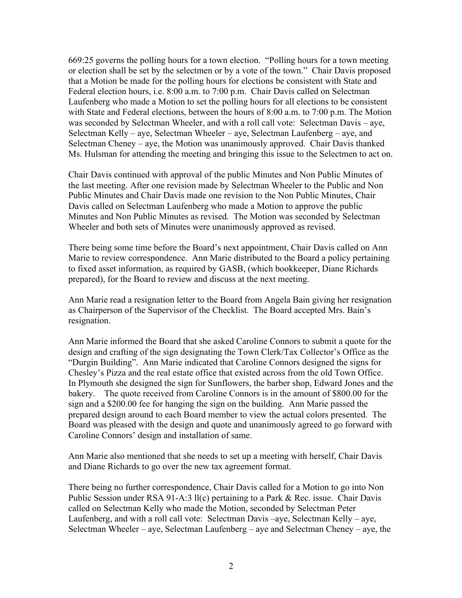669:25 governs the polling hours for a town election. "Polling hours for a town meeting or election shall be set by the selectmen or by a vote of the town." Chair Davis proposed that a Motion be made for the polling hours for elections be consistent with State and Federal election hours, i.e. 8:00 a.m. to 7:00 p.m. Chair Davis called on Selectman Laufenberg who made a Motion to set the polling hours for all elections to be consistent with State and Federal elections, between the hours of 8:00 a.m. to 7:00 p.m. The Motion was seconded by Selectman Wheeler, and with a roll call vote: Selectman Davis – aye, Selectman Kelly – aye, Selectman Wheeler – aye, Selectman Laufenberg – aye, and Selectman Cheney – aye, the Motion was unanimously approved. Chair Davis thanked Ms. Hulsman for attending the meeting and bringing this issue to the Selectmen to act on.

Chair Davis continued with approval of the public Minutes and Non Public Minutes of the last meeting. After one revision made by Selectman Wheeler to the Public and Non Public Minutes and Chair Davis made one revision to the Non Public Minutes, Chair Davis called on Selectman Laufenberg who made a Motion to approve the public Minutes and Non Public Minutes as revised. The Motion was seconded by Selectman Wheeler and both sets of Minutes were unanimously approved as revised.

There being some time before the Board's next appointment, Chair Davis called on Ann Marie to review correspondence. Ann Marie distributed to the Board a policy pertaining to fixed asset information, as required by GASB, (which bookkeeper, Diane Richards prepared), for the Board to review and discuss at the next meeting.

Ann Marie read a resignation letter to the Board from Angela Bain giving her resignation as Chairperson of the Supervisor of the Checklist. The Board accepted Mrs. Bain's resignation.

Ann Marie informed the Board that she asked Caroline Connors to submit a quote for the design and crafting of the sign designating the Town Clerk/Tax Collector's Office as the "Durgin Building". Ann Marie indicated that Caroline Connors designed the signs for Chesley's Pizza and the real estate office that existed across from the old Town Office. In Plymouth she designed the sign for Sunflowers, the barber shop, Edward Jones and the bakery. The quote received from Caroline Connors is in the amount of \$800.00 for the sign and a \$200.00 fee for hanging the sign on the building. Ann Marie passed the prepared design around to each Board member to view the actual colors presented. The Board was pleased with the design and quote and unanimously agreed to go forward with Caroline Connors' design and installation of same.

Ann Marie also mentioned that she needs to set up a meeting with herself, Chair Davis and Diane Richards to go over the new tax agreement format.

There being no further correspondence, Chair Davis called for a Motion to go into Non Public Session under RSA 91-A:3 ll(c) pertaining to a Park & Rec. issue. Chair Davis called on Selectman Kelly who made the Motion, seconded by Selectman Peter Laufenberg, and with a roll call vote: Selectman Davis –aye, Selectman Kelly – aye, Selectman Wheeler – aye, Selectman Laufenberg – aye and Selectman Cheney – aye, the